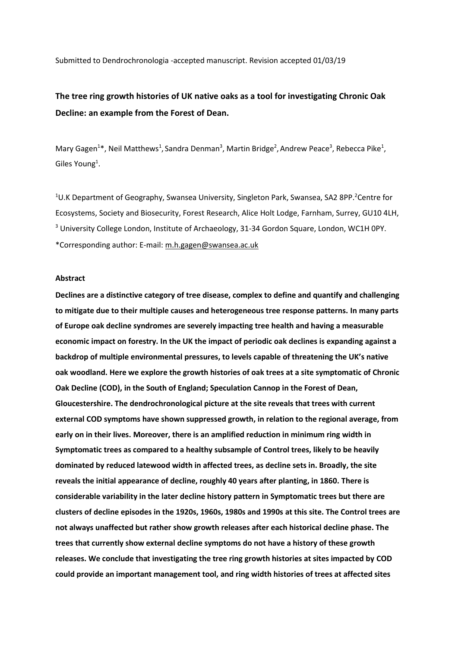Submitted to Dendrochronologia -accepted manuscript. Revision accepted 01/03/19

# **The tree ring growth histories of UK native oaks as a tool for investigating Chronic Oak Decline: an example from the Forest of Dean.**

Mary Gagen<sup>1\*</sup>, Neil Matthews<sup>1</sup>, Sandra Denman<sup>3</sup>, Martin Bridge<sup>2</sup>, Andrew Peace<sup>3</sup>, Rebecca Pike<sup>1</sup>, Giles Young<sup>1</sup>.

<sup>1</sup>U.K Department of Geography, Swansea University, Singleton Park, Swansea, SA2 8PP.<sup>2</sup>Centre for Ecosystems, Society and Biosecurity, Forest Research, Alice Holt Lodge, Farnham, Surrey, GU10 4LH, <sup>3</sup> University College London, Institute of Archaeology, 31-34 Gordon Square, London, WC1H 0PY. \*Corresponding author: E-mail[: m.h.gagen@swansea.ac.uk](mailto:m.h.gagen@swansea.ac.uk)

#### **Abstract**

**Declines are a distinctive category of tree disease, complex to define and quantify and challenging to mitigate due to their multiple causes and heterogeneous tree response patterns. In many parts of Europe oak decline syndromes are severely impacting tree health and having a measurable economic impact on forestry. In the UK the impact of periodic oak declines is expanding against a backdrop of multiple environmental pressures, to levels capable of threatening the UK's native oak woodland. Here we explore the growth histories of oak trees at a site symptomatic of Chronic Oak Decline (COD), in the South of England; Speculation Cannop in the Forest of Dean, Gloucestershire. The dendrochronological picture at the site reveals that trees with current external COD symptoms have shown suppressed growth, in relation to the regional average, from early on in their lives. Moreover, there is an amplified reduction in minimum ring width in Symptomatic trees as compared to a healthy subsample of Control trees, likely to be heavily dominated by reduced latewood width in affected trees, as decline sets in. Broadly, the site reveals the initial appearance of decline, roughly 40 years after planting, in 1860. There is considerable variability in the later decline history pattern in Symptomatic trees but there are clusters of decline episodes in the 1920s, 1960s, 1980s and 1990s at this site. The Control trees are not always unaffected but rather show growth releases after each historical decline phase. The trees that currently show external decline symptoms do not have a history of these growth releases. We conclude that investigating the tree ring growth histories at sites impacted by COD could provide an important management tool, and ring width histories of trees at affected sites**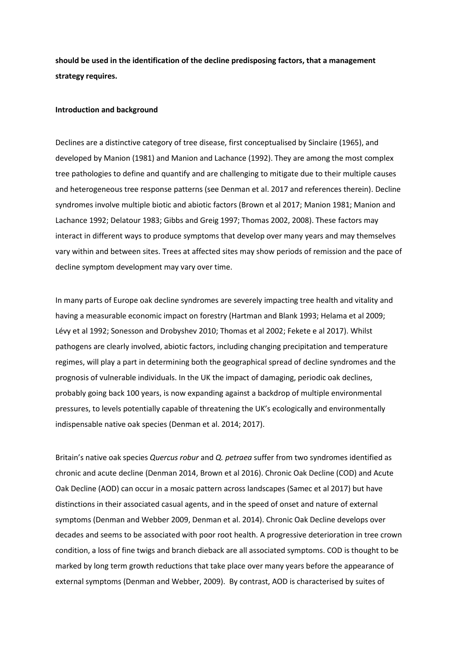**should be used in the identification of the decline predisposing factors, that a management strategy requires.**

#### **Introduction and background**

Declines are a distinctive category of tree disease, first conceptualised by Sinclaire (1965), and developed by Manion (1981) and Manion and Lachance (1992). They are among the most complex tree pathologies to define and quantify and are challenging to mitigate due to their multiple causes and heterogeneous tree response patterns (see Denman et al. 2017 and references therein). Decline syndromes involve multiple biotic and abiotic factors (Brown et al 2017; Manion 1981; Manion and Lachance 1992; Delatour 1983; Gibbs and Greig 1997; Thomas 2002, 2008). These factors may interact in different ways to produce symptoms that develop over many years and may themselves vary within and between sites. Trees at affected sites may show periods of remission and the pace of decline symptom development may vary over time.

In many parts of Europe oak decline syndromes are severely impacting tree health and vitality and having a measurable economic impact on forestry (Hartman and Blank 1993; Helama et al 2009; Lévy et al 1992; Sonesson and Drobyshev 2010; Thomas et al 2002; Fekete e al 2017). Whilst pathogens are clearly involved, abiotic factors, including changing precipitation and temperature regimes, will play a part in determining both the geographical spread of decline syndromes and the prognosis of vulnerable individuals. In the UK the impact of damaging, periodic oak declines, probably going back 100 years, is now expanding against a backdrop of multiple environmental pressures, to levels potentially capable of threatening the UK's ecologically and environmentally indispensable native oak species (Denman et al. 2014; 2017).

Britain's native oak species *Quercus robur* and *Q. petraea* suffer from two syndromes identified as chronic and acute decline (Denman 2014, Brown et al 2016). Chronic Oak Decline (COD) and Acute Oak Decline (AOD) can occur in a mosaic pattern across landscapes (Samec et al 2017) but have distinctions in their associated casual agents, and in the speed of onset and nature of external symptoms (Denman and Webber 2009, Denman et al. 2014). Chronic Oak Decline develops over decades and seems to be associated with poor root health. A progressive deterioration in tree crown condition, a loss of fine twigs and branch dieback are all associated symptoms. COD is thought to be marked by long term growth reductions that take place over many years before the appearance of external symptoms (Denman and Webber, 2009). By contrast, AOD is characterised by suites of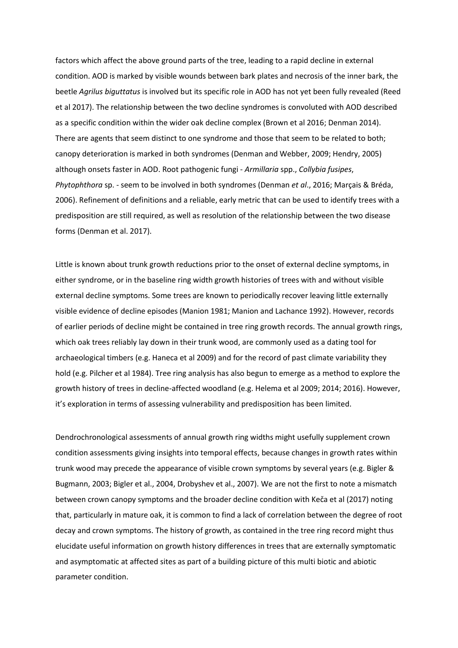factors which affect the above ground parts of the tree, leading to a rapid decline in external condition. AOD is marked by visible wounds between bark plates and necrosis of the inner bark, the beetle *Agrilus biguttatus* is involved but its specific role in AOD has not yet been fully revealed (Reed et al 2017). The relationship between the two decline syndromes is convoluted with AOD described as a specific condition within the wider oak decline complex (Brown et al 2016; Denman 2014). There are agents that seem distinct to one syndrome and those that seem to be related to both; canopy deterioration is marked in both syndromes (Denman and Webber, 2009; Hendry, 2005) although onsets faster in AOD. Root pathogenic fungi - *Armillaria* spp., *Collybia fusipes*, *Phytophthora* sp. - seem to be involved in both syndromes (Denman *et al*., 2016; Marçais & Bréda, 2006). Refinement of definitions and a reliable, early metric that can be used to identify trees with a predisposition are still required, as well as resolution of the relationship between the two disease forms (Denman et al. 2017).

Little is known about trunk growth reductions prior to the onset of external decline symptoms, in either syndrome, or in the baseline ring width growth histories of trees with and without visible external decline symptoms. Some trees are known to periodically recover leaving little externally visible evidence of decline episodes (Manion 1981; Manion and Lachance 1992). However, records of earlier periods of decline might be contained in tree ring growth records. The annual growth rings, which oak trees reliably lay down in their trunk wood, are commonly used as a dating tool for archaeological timbers (e.g. Haneca et al 2009) and for the record of past climate variability they hold (e.g. Pilcher et al 1984). Tree ring analysis has also begun to emerge as a method to explore the growth history of trees in decline-affected woodland (e.g. Helema et al 2009; 2014; 2016). However, it's exploration in terms of assessing vulnerability and predisposition has been limited.

Dendrochronological assessments of annual growth ring widths might usefully supplement crown condition assessments giving insights into temporal effects, because changes in growth rates within trunk wood may precede the appearance of visible crown symptoms by several years (e.g. Bigler & Bugmann, 2003; Bigler et al., 2004, Drobyshev et al., 2007). We are not the first to note a mismatch between crown canopy symptoms and the broader decline condition with Keča et al (2017) noting that, particularly in mature oak, it is common to find a lack of correlation between the degree of root decay and crown symptoms. The history of growth, as contained in the tree ring record might thus elucidate useful information on growth history differences in trees that are externally symptomatic and asymptomatic at affected sites as part of a building picture of this multi biotic and abiotic parameter condition.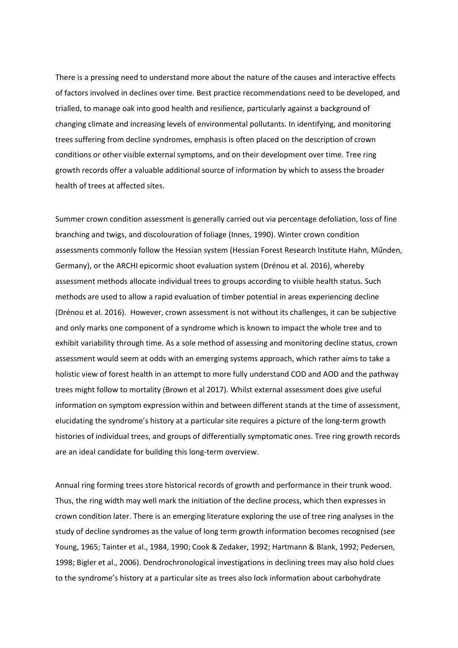There is a pressing need to understand more about the nature of the causes and interactive effects of factors involved in declines over time. Best practice recommendations need to be developed, and trialled, to manage oak into good health and resilience, particularly against a background of changing climate and increasing levels of environmental pollutants. In identifying, and monitoring trees suffering from decline syndromes, emphasis is often placed on the description of crown conditions or other visible external symptoms, and on their development over time. Tree ring growth records offer a valuable additional source of information by which to assess the broader health of trees at affected sites.

Summer crown condition assessment is generally carried out via percentage defoliation, loss of fine branching and twigs, and discolouration of foliage (Innes, 1990). Winter crown condition assessments commonly follow the Hessian system (Hessian Forest Research Institute Hahn, Műnden, Germany), or the ARCHI epicormic shoot evaluation system (Drénou et al. 2016), whereby assessment methods allocate individual trees to groups according to visible health status. Such methods are used to allow a rapid evaluation of timber potential in areas experiencing decline (Drénou et al. 2016). However, crown assessment is not without its challenges, it can be subjective and only marks one component of a syndrome which is known to impact the whole tree and to exhibit variability through time. As a sole method of assessing and monitoring decline status, crown assessment would seem at odds with an emerging systems approach, which rather aims to take a holistic view of forest health in an attempt to more fully understand COD and AOD and the pathway trees might follow to mortality (Brown et al 2017). Whilst external assessment does give useful information on symptom expression within and between different stands at the time of assessment, elucidating the syndrome's history at a particular site requires a picture of the long-term growth histories of individual trees, and groups of differentially symptomatic ones. Tree ring growth records are an ideal candidate for building this long-term overview.

Annual ring forming trees store historical records of growth and performance in their trunk wood. Thus, the ring width may well mark the initiation of the decline process, which then expresses in crown condition later. There is an emerging literature exploring the use of tree ring analyses in the study of decline syndromes as the value of long term growth information becomes recognised (see Young, 1965; Tainter et al., 1984, 1990; Cook & Zedaker, 1992; Hartmann & Blank, 1992; Pedersen, 1998; Bigler et al., 2006). Dendrochronological investigations in declining trees may also hold clues to the syndrome's history at a particular site as trees also lock information about carbohydrate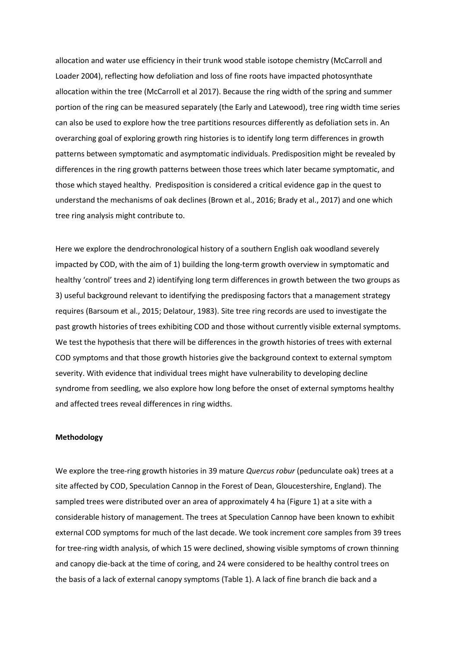allocation and water use efficiency in their trunk wood stable isotope chemistry (McCarroll and Loader 2004), reflecting how defoliation and loss of fine roots have impacted photosynthate allocation within the tree (McCarroll et al 2017). Because the ring width of the spring and summer portion of the ring can be measured separately (the Early and Latewood), tree ring width time series can also be used to explore how the tree partitions resources differently as defoliation sets in. An overarching goal of exploring growth ring histories is to identify long term differences in growth patterns between symptomatic and asymptomatic individuals. Predisposition might be revealed by differences in the ring growth patterns between those trees which later became symptomatic, and those which stayed healthy. Predisposition is considered a critical evidence gap in the quest to understand the mechanisms of oak declines (Brown et al., 2016; Brady et al., 2017) and one which tree ring analysis might contribute to.

Here we explore the dendrochronological history of a southern English oak woodland severely impacted by COD, with the aim of 1) building the long-term growth overview in symptomatic and healthy 'control' trees and 2) identifying long term differences in growth between the two groups as 3) useful background relevant to identifying the predisposing factors that a management strategy requires (Barsoum et al., 2015; Delatour, 1983). Site tree ring records are used to investigate the past growth histories of trees exhibiting COD and those without currently visible external symptoms. We test the hypothesis that there will be differences in the growth histories of trees with external COD symptoms and that those growth histories give the background context to external symptom severity. With evidence that individual trees might have vulnerability to developing decline syndrome from seedling, we also explore how long before the onset of external symptoms healthy and affected trees reveal differences in ring widths.

## **Methodology**

We explore the tree-ring growth histories in 39 mature *Quercus robur* (pedunculate oak) trees at a site affected by COD, Speculation Cannop in the Forest of Dean, Gloucestershire, England). The sampled trees were distributed over an area of approximately 4 ha (Figure 1) at a site with a considerable history of management. The trees at Speculation Cannop have been known to exhibit external COD symptoms for much of the last decade. We took increment core samples from 39 trees for tree-ring width analysis, of which 15 were declined, showing visible symptoms of crown thinning and canopy die-back at the time of coring, and 24 were considered to be healthy control trees on the basis of a lack of external canopy symptoms (Table 1). A lack of fine branch die back and a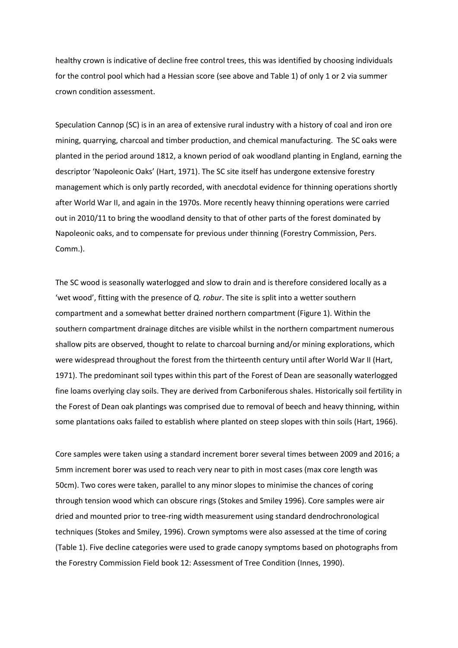healthy crown is indicative of decline free control trees, this was identified by choosing individuals for the control pool which had a Hessian score (see above and Table 1) of only 1 or 2 via summer crown condition assessment.

Speculation Cannop (SC) is in an area of extensive rural industry with a history of coal and iron ore mining, quarrying, charcoal and timber production, and chemical manufacturing. The SC oaks were planted in the period around 1812, a known period of oak woodland planting in England, earning the descriptor 'Napoleonic Oaks' (Hart, 1971). The SC site itself has undergone extensive forestry management which is only partly recorded, with anecdotal evidence for thinning operations shortly after World War II, and again in the 1970s. More recently heavy thinning operations were carried out in 2010/11 to bring the woodland density to that of other parts of the forest dominated by Napoleonic oaks, and to compensate for previous under thinning (Forestry Commission, Pers. Comm.).

The SC wood is seasonally waterlogged and slow to drain and is therefore considered locally as a 'wet wood', fitting with the presence of *Q. robur*. The site is split into a wetter southern compartment and a somewhat better drained northern compartment (Figure 1). Within the southern compartment drainage ditches are visible whilst in the northern compartment numerous shallow pits are observed, thought to relate to charcoal burning and/or mining explorations, which were widespread throughout the forest from the thirteenth century until after World War II (Hart, 1971). The predominant soil types within this part of the Forest of Dean are seasonally waterlogged fine loams overlying clay soils. They are derived from Carboniferous shales. Historically soil fertility in the Forest of Dean oak plantings was comprised due to removal of beech and heavy thinning, within some plantations oaks failed to establish where planted on steep slopes with thin soils (Hart, 1966).

Core samples were taken using a standard increment borer several times between 2009 and 2016; a 5mm increment borer was used to reach very near to pith in most cases (max core length was 50cm). Two cores were taken, parallel to any minor slopes to minimise the chances of coring through tension wood which can obscure rings (Stokes and Smiley 1996). Core samples were air dried and mounted prior to tree-ring width measurement using standard dendrochronological techniques (Stokes and Smiley, 1996). Crown symptoms were also assessed at the time of coring (Table 1). Five decline categories were used to grade canopy symptoms based on photographs from the Forestry Commission Field book 12: Assessment of Tree Condition (Innes, 1990).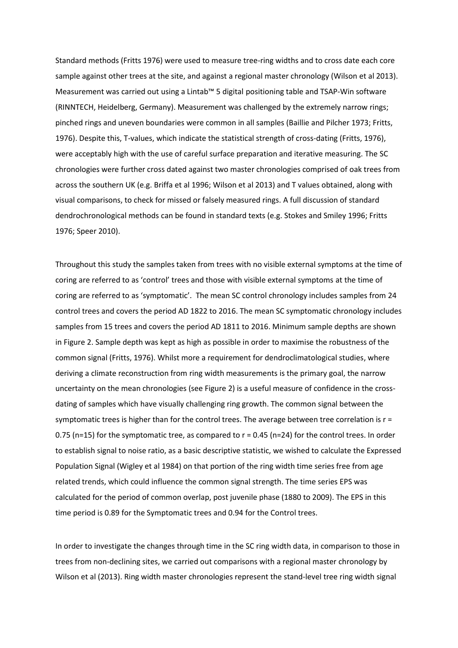Standard methods (Fritts 1976) were used to measure tree-ring widths and to cross date each core sample against other trees at the site, and against a regional master chronology (Wilson et al 2013). Measurement was carried out using a Lintab™ 5 digital positioning table and TSAP-Win software (RINNTECH, Heidelberg, Germany). Measurement was challenged by the extremely narrow rings; pinched rings and uneven boundaries were common in all samples (Baillie and Pilcher 1973; Fritts, 1976). Despite this, T-values, which indicate the statistical strength of cross-dating (Fritts, 1976), were acceptably high with the use of careful surface preparation and iterative measuring. The SC chronologies were further cross dated against two master chronologies comprised of oak trees from across the southern UK (e.g. Briffa et al 1996; Wilson et al 2013) and T values obtained, along with visual comparisons, to check for missed or falsely measured rings. A full discussion of standard dendrochronological methods can be found in standard texts (e.g. Stokes and Smiley 1996; Fritts 1976; Speer 2010).

Throughout this study the samples taken from trees with no visible external symptoms at the time of coring are referred to as 'control' trees and those with visible external symptoms at the time of coring are referred to as 'symptomatic'. The mean SC control chronology includes samples from 24 control trees and covers the period AD 1822 to 2016. The mean SC symptomatic chronology includes samples from 15 trees and covers the period AD 1811 to 2016. Minimum sample depths are shown in Figure 2. Sample depth was kept as high as possible in order to maximise the robustness of the common signal (Fritts, 1976). Whilst more a requirement for dendroclimatological studies, where deriving a climate reconstruction from ring width measurements is the primary goal, the narrow uncertainty on the mean chronologies (see Figure 2) is a useful measure of confidence in the crossdating of samples which have visually challenging ring growth. The common signal between the symptomatic trees is higher than for the control trees. The average between tree correlation is r = 0.75 (n=15) for the symptomatic tree, as compared to  $r = 0.45$  (n=24) for the control trees. In order to establish signal to noise ratio, as a basic descriptive statistic, we wished to calculate the Expressed Population Signal (Wigley et al 1984) on that portion of the ring width time series free from age related trends, which could influence the common signal strength. The time series EPS was calculated for the period of common overlap, post juvenile phase (1880 to 2009). The EPS in this time period is 0.89 for the Symptomatic trees and 0.94 for the Control trees.

In order to investigate the changes through time in the SC ring width data, in comparison to those in trees from non-declining sites, we carried out comparisons with a regional master chronology by Wilson et al (2013). Ring width master chronologies represent the stand-level tree ring width signal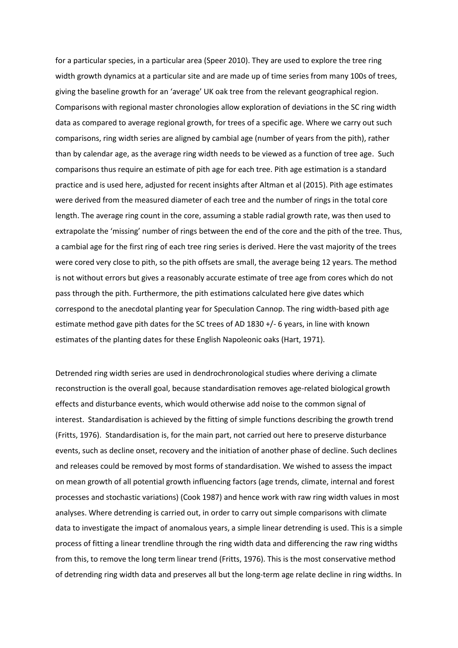for a particular species, in a particular area (Speer 2010). They are used to explore the tree ring width growth dynamics at a particular site and are made up of time series from many 100s of trees, giving the baseline growth for an 'average' UK oak tree from the relevant geographical region. Comparisons with regional master chronologies allow exploration of deviations in the SC ring width data as compared to average regional growth, for trees of a specific age. Where we carry out such comparisons, ring width series are aligned by cambial age (number of years from the pith), rather than by calendar age, as the average ring width needs to be viewed as a function of tree age. Such comparisons thus require an estimate of pith age for each tree. Pith age estimation is a standard practice and is used here, adjusted for recent insights after Altman et al (2015). Pith age estimates were derived from the measured diameter of each tree and the number of rings in the total core length. The average ring count in the core, assuming a stable radial growth rate, was then used to extrapolate the 'missing' number of rings between the end of the core and the pith of the tree. Thus, a cambial age for the first ring of each tree ring series is derived. Here the vast majority of the trees were cored very close to pith, so the pith offsets are small, the average being 12 years. The method is not without errors but gives a reasonably accurate estimate of tree age from cores which do not pass through the pith. Furthermore, the pith estimations calculated here give dates which correspond to the anecdotal planting year for Speculation Cannop. The ring width-based pith age estimate method gave pith dates for the SC trees of AD 1830 +/- 6 years, in line with known estimates of the planting dates for these English Napoleonic oaks (Hart, 1971).

Detrended ring width series are used in dendrochronological studies where deriving a climate reconstruction is the overall goal, because standardisation removes age-related biological growth effects and disturbance events, which would otherwise add noise to the common signal of interest. Standardisation is achieved by the fitting of simple functions describing the growth trend (Fritts, 1976). Standardisation is, for the main part, not carried out here to preserve disturbance events, such as decline onset, recovery and the initiation of another phase of decline. Such declines and releases could be removed by most forms of standardisation. We wished to assess the impact on mean growth of all potential growth influencing factors (age trends, climate, internal and forest processes and stochastic variations) (Cook 1987) and hence work with raw ring width values in most analyses. Where detrending is carried out, in order to carry out simple comparisons with climate data to investigate the impact of anomalous years, a simple linear detrending is used. This is a simple process of fitting a linear trendline through the ring width data and differencing the raw ring widths from this, to remove the long term linear trend (Fritts, 1976). This is the most conservative method of detrending ring width data and preserves all but the long-term age relate decline in ring widths. In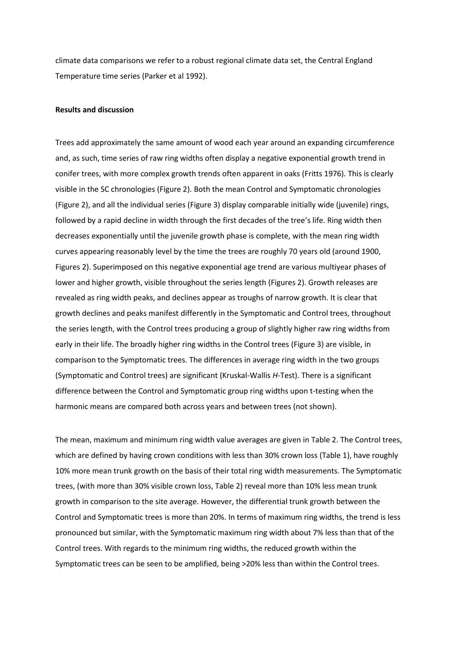climate data comparisons we refer to a robust regional climate data set, the Central England Temperature time series (Parker et al 1992).

#### **Results and discussion**

Trees add approximately the same amount of wood each year around an expanding circumference and, as such, time series of raw ring widths often display a negative exponential growth trend in conifer trees, with more complex growth trends often apparent in oaks (Fritts 1976). This is clearly visible in the SC chronologies (Figure 2). Both the mean Control and Symptomatic chronologies (Figure 2), and all the individual series (Figure 3) display comparable initially wide (juvenile) rings, followed by a rapid decline in width through the first decades of the tree's life. Ring width then decreases exponentially until the juvenile growth phase is complete, with the mean ring width curves appearing reasonably level by the time the trees are roughly 70 years old (around 1900, Figures 2). Superimposed on this negative exponential age trend are various multiyear phases of lower and higher growth, visible throughout the series length (Figures 2). Growth releases are revealed as ring width peaks, and declines appear as troughs of narrow growth. It is clear that growth declines and peaks manifest differently in the Symptomatic and Control trees, throughout the series length, with the Control trees producing a group of slightly higher raw ring widths from early in their life. The broadly higher ring widths in the Control trees (Figure 3) are visible, in comparison to the Symptomatic trees. The differences in average ring width in the two groups (Symptomatic and Control trees) are significant (Kruskal-Wallis *H*-Test). There is a significant difference between the Control and Symptomatic group ring widths upon t-testing when the harmonic means are compared both across years and between trees (not shown).

The mean, maximum and minimum ring width value averages are given in Table 2. The Control trees, which are defined by having crown conditions with less than 30% crown loss (Table 1), have roughly 10% more mean trunk growth on the basis of their total ring width measurements. The Symptomatic trees, (with more than 30% visible crown loss, Table 2) reveal more than 10% less mean trunk growth in comparison to the site average. However, the differential trunk growth between the Control and Symptomatic trees is more than 20%. In terms of maximum ring widths, the trend is less pronounced but similar, with the Symptomatic maximum ring width about 7% less than that of the Control trees. With regards to the minimum ring widths, the reduced growth within the Symptomatic trees can be seen to be amplified, being >20% less than within the Control trees.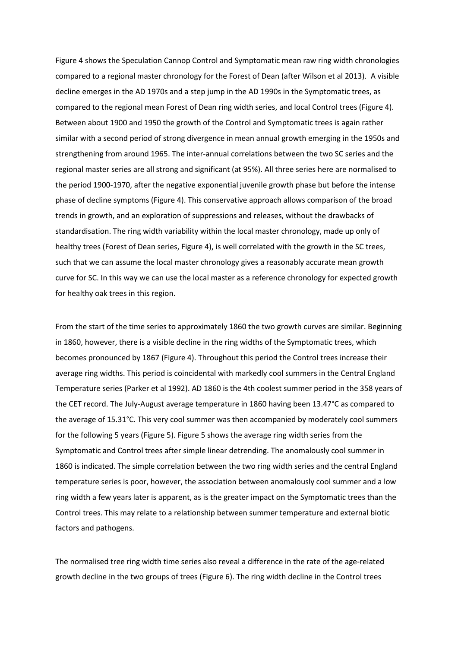Figure 4 shows the Speculation Cannop Control and Symptomatic mean raw ring width chronologies compared to a regional master chronology for the Forest of Dean (after Wilson et al 2013). A visible decline emerges in the AD 1970s and a step jump in the AD 1990s in the Symptomatic trees, as compared to the regional mean Forest of Dean ring width series, and local Control trees (Figure 4). Between about 1900 and 1950 the growth of the Control and Symptomatic trees is again rather similar with a second period of strong divergence in mean annual growth emerging in the 1950s and strengthening from around 1965. The inter-annual correlations between the two SC series and the regional master series are all strong and significant (at 95%). All three series here are normalised to the period 1900-1970, after the negative exponential juvenile growth phase but before the intense phase of decline symptoms (Figure 4). This conservative approach allows comparison of the broad trends in growth, and an exploration of suppressions and releases, without the drawbacks of standardisation. The ring width variability within the local master chronology, made up only of healthy trees (Forest of Dean series, Figure 4), is well correlated with the growth in the SC trees, such that we can assume the local master chronology gives a reasonably accurate mean growth curve for SC. In this way we can use the local master as a reference chronology for expected growth for healthy oak trees in this region.

From the start of the time series to approximately 1860 the two growth curves are similar. Beginning in 1860, however, there is a visible decline in the ring widths of the Symptomatic trees, which becomes pronounced by 1867 (Figure 4). Throughout this period the Control trees increase their average ring widths. This period is coincidental with markedly cool summers in the Central England Temperature series (Parker et al 1992). AD 1860 is the 4th coolest summer period in the 358 years of the CET record. The July-August average temperature in 1860 having been 13.47°C as compared to the average of 15.31°C. This very cool summer was then accompanied by moderately cool summers for the following 5 years (Figure 5). Figure 5 shows the average ring width series from the Symptomatic and Control trees after simple linear detrending. The anomalously cool summer in 1860 is indicated. The simple correlation between the two ring width series and the central England temperature series is poor, however, the association between anomalously cool summer and a low ring width a few years later is apparent, as is the greater impact on the Symptomatic trees than the Control trees. This may relate to a relationship between summer temperature and external biotic factors and pathogens.

The normalised tree ring width time series also reveal a difference in the rate of the age-related growth decline in the two groups of trees (Figure 6). The ring width decline in the Control trees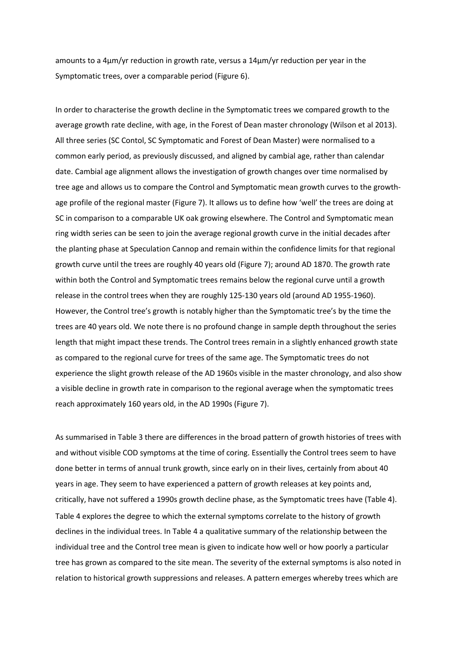amounts to a 4μm/yr reduction in growth rate, versus a 14μm/yr reduction per year in the Symptomatic trees, over a comparable period (Figure 6).

In order to characterise the growth decline in the Symptomatic trees we compared growth to the average growth rate decline, with age, in the Forest of Dean master chronology (Wilson et al 2013). All three series (SC Contol, SC Symptomatic and Forest of Dean Master) were normalised to a common early period, as previously discussed, and aligned by cambial age, rather than calendar date. Cambial age alignment allows the investigation of growth changes over time normalised by tree age and allows us to compare the Control and Symptomatic mean growth curves to the growthage profile of the regional master (Figure 7). It allows us to define how 'well' the trees are doing at SC in comparison to a comparable UK oak growing elsewhere. The Control and Symptomatic mean ring width series can be seen to join the average regional growth curve in the initial decades after the planting phase at Speculation Cannop and remain within the confidence limits for that regional growth curve until the trees are roughly 40 years old (Figure 7); around AD 1870. The growth rate within both the Control and Symptomatic trees remains below the regional curve until a growth release in the control trees when they are roughly 125-130 years old (around AD 1955-1960). However, the Control tree's growth is notably higher than the Symptomatic tree's by the time the trees are 40 years old. We note there is no profound change in sample depth throughout the series length that might impact these trends. The Control trees remain in a slightly enhanced growth state as compared to the regional curve for trees of the same age. The Symptomatic trees do not experience the slight growth release of the AD 1960s visible in the master chronology, and also show a visible decline in growth rate in comparison to the regional average when the symptomatic trees reach approximately 160 years old, in the AD 1990s (Figure 7).

As summarised in Table 3 there are differences in the broad pattern of growth histories of trees with and without visible COD symptoms at the time of coring. Essentially the Control trees seem to have done better in terms of annual trunk growth, since early on in their lives, certainly from about 40 years in age. They seem to have experienced a pattern of growth releases at key points and, critically, have not suffered a 1990s growth decline phase, as the Symptomatic trees have (Table 4). Table 4 explores the degree to which the external symptoms correlate to the history of growth declines in the individual trees. In Table 4 a qualitative summary of the relationship between the individual tree and the Control tree mean is given to indicate how well or how poorly a particular tree has grown as compared to the site mean. The severity of the external symptoms is also noted in relation to historical growth suppressions and releases. A pattern emerges whereby trees which are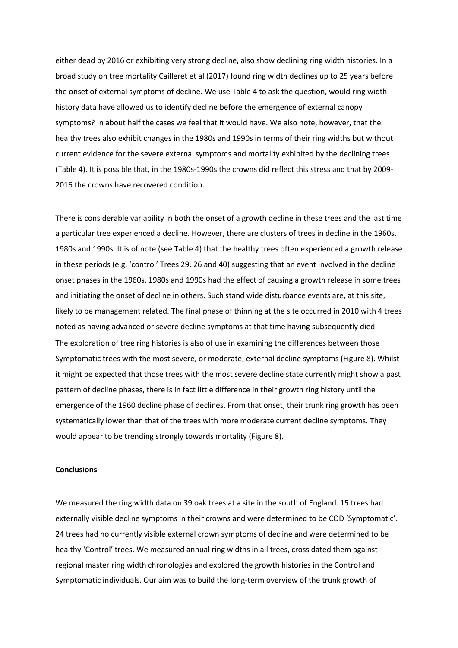either dead by 2016 or exhibiting very strong decline, also show declining ring width histories. In a broad study on tree mortality Cailleret et al (2017) found ring width declines up to 25 years before the onset of external symptoms of decline. We use Table 4 to ask the question, would ring width history data have allowed us to identify decline before the emergence of external canopy symptoms? In about half the cases we feel that it would have. We also note, however, that the healthy trees also exhibit changes in the 1980s and 1990s in terms of their ring widths but without current evidence for the severe external symptoms and mortality exhibited by the declining trees (Table 4). It is possible that, in the 1980s-1990s the crowns did reflect this stress and that by 2009- 2016 the crowns have recovered condition.

There is considerable variability in both the onset of a growth decline in these trees and the last time a particular tree experienced a decline. However, there are clusters of trees in decline in the 1960s, 1980s and 1990s. It is of note (see Table 4) that the healthy trees often experienced a growth release in these periods (e.g. 'control' Trees 29, 26 and 40) suggesting that an event involved in the decline onset phases in the 1960s, 1980s and 1990s had the effect of causing a growth release in some trees and initiating the onset of decline in others. Such stand wide disturbance events are, at this site, likely to be management related. The final phase of thinning at the site occurred in 2010 with 4 trees noted as having advanced or severe decline symptoms at that time having subsequently died. The exploration of tree ring histories is also of use in examining the differences between those Symptomatic trees with the most severe, or moderate, external decline symptoms (Figure 8). Whilst it might be expected that those trees with the most severe decline state currently might show a past pattern of decline phases, there is in fact little difference in their growth ring history until the emergence of the 1960 decline phase of declines. From that onset, their trunk ring growth has been systematically lower than that of the trees with more moderate current decline symptoms. They would appear to be trending strongly towards mortality (Figure 8).

## **Conclusions**

We measured the ring width data on 39 oak trees at a site in the south of England. 15 trees had externally visible decline symptoms in their crowns and were determined to be COD 'Symptomatic'. 24 trees had no currently visible external crown symptoms of decline and were determined to be healthy 'Control' trees. We measured annual ring widths in all trees, cross dated them against regional master ring width chronologies and explored the growth histories in the Control and Symptomatic individuals. Our aim was to build the long-term overview of the trunk growth of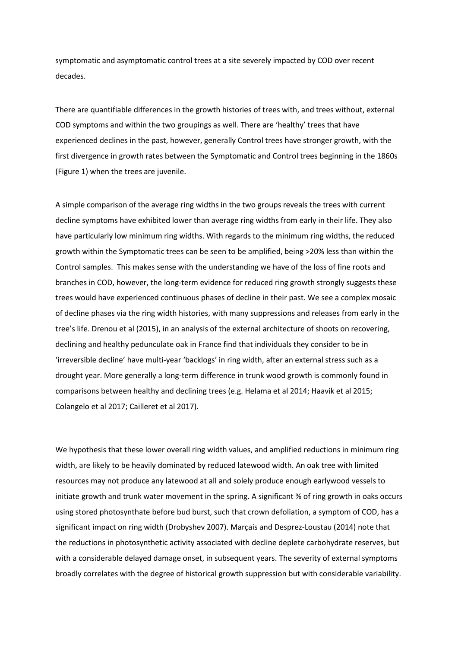symptomatic and asymptomatic control trees at a site severely impacted by COD over recent decades.

There are quantifiable differences in the growth histories of trees with, and trees without, external COD symptoms and within the two groupings as well. There are 'healthy' trees that have experienced declines in the past, however, generally Control trees have stronger growth, with the first divergence in growth rates between the Symptomatic and Control trees beginning in the 1860s (Figure 1) when the trees are juvenile.

A simple comparison of the average ring widths in the two groups reveals the trees with current decline symptoms have exhibited lower than average ring widths from early in their life. They also have particularly low minimum ring widths. With regards to the minimum ring widths, the reduced growth within the Symptomatic trees can be seen to be amplified, being >20% less than within the Control samples. This makes sense with the understanding we have of the loss of fine roots and branches in COD, however, the long-term evidence for reduced ring growth strongly suggests these trees would have experienced continuous phases of decline in their past. We see a complex mosaic of decline phases via the ring width histories, with many suppressions and releases from early in the tree's life. Drenou et al (2015), in an analysis of the external architecture of shoots on recovering, declining and healthy pedunculate oak in France find that individuals they consider to be in 'irreversible decline' have multi-year 'backlogs' in ring width, after an external stress such as a drought year. More generally a long-term difference in trunk wood growth is commonly found in comparisons between healthy and declining trees (e.g. Helama et al 2014; Haavik et al 2015; Colangelo et al 2017; Cailleret et al 2017).

We hypothesis that these lower overall ring width values, and amplified reductions in minimum ring width, are likely to be heavily dominated by reduced latewood width. An oak tree with limited resources may not produce any latewood at all and solely produce enough earlywood vessels to initiate growth and trunk water movement in the spring. A significant % of ring growth in oaks occurs using stored photosynthate before bud burst, such that crown defoliation, a symptom of COD, has a significant impact on ring width (Drobyshev 2007). Marçais and Desprez-Loustau (2014) note that the reductions in photosynthetic activity associated with decline deplete carbohydrate reserves, but with a considerable delayed damage onset, in subsequent years. The severity of external symptoms broadly correlates with the degree of historical growth suppression but with considerable variability.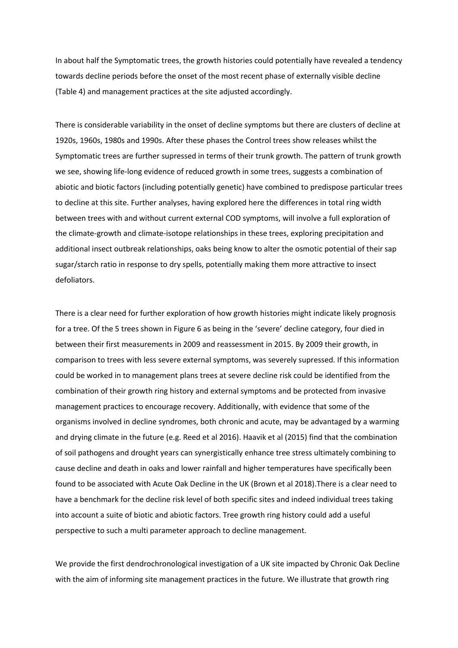In about half the Symptomatic trees, the growth histories could potentially have revealed a tendency towards decline periods before the onset of the most recent phase of externally visible decline (Table 4) and management practices at the site adjusted accordingly.

There is considerable variability in the onset of decline symptoms but there are clusters of decline at 1920s, 1960s, 1980s and 1990s. After these phases the Control trees show releases whilst the Symptomatic trees are further supressed in terms of their trunk growth. The pattern of trunk growth we see, showing life-long evidence of reduced growth in some trees, suggests a combination of abiotic and biotic factors (including potentially genetic) have combined to predispose particular trees to decline at this site. Further analyses, having explored here the differences in total ring width between trees with and without current external COD symptoms, will involve a full exploration of the climate-growth and climate-isotope relationships in these trees, exploring precipitation and additional insect outbreak relationships, oaks being know to alter the osmotic potential of their sap sugar/starch ratio in response to dry spells, potentially making them more attractive to insect defoliators.

There is a clear need for further exploration of how growth histories might indicate likely prognosis for a tree. Of the 5 trees shown in Figure 6 as being in the 'severe' decline category, four died in between their first measurements in 2009 and reassessment in 2015. By 2009 their growth, in comparison to trees with less severe external symptoms, was severely supressed. If this information could be worked in to management plans trees at severe decline risk could be identified from the combination of their growth ring history and external symptoms and be protected from invasive management practices to encourage recovery. Additionally, with evidence that some of the organisms involved in decline syndromes, both chronic and acute, may be advantaged by a warming and drying climate in the future (e.g. Reed et al 2016). Haavik et al (2015) find that the combination of soil pathogens and drought years can synergistically enhance tree stress ultimately combining to cause decline and death in oaks and lower rainfall and higher temperatures have specifically been found to be associated with Acute Oak Decline in the UK (Brown et al 2018).There is a clear need to have a benchmark for the decline risk level of both specific sites and indeed individual trees taking into account a suite of biotic and abiotic factors. Tree growth ring history could add a useful perspective to such a multi parameter approach to decline management.

We provide the first dendrochronological investigation of a UK site impacted by Chronic Oak Decline with the aim of informing site management practices in the future. We illustrate that growth ring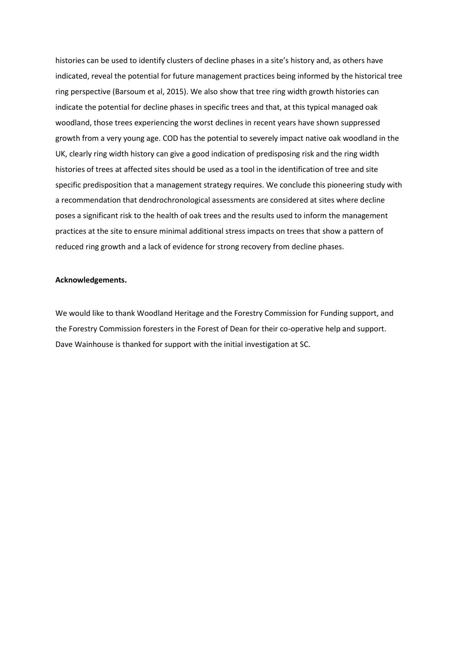histories can be used to identify clusters of decline phases in a site's history and, as others have indicated, reveal the potential for future management practices being informed by the historical tree ring perspective (Barsoum et al, 2015). We also show that tree ring width growth histories can indicate the potential for decline phases in specific trees and that, at this typical managed oak woodland, those trees experiencing the worst declines in recent years have shown suppressed growth from a very young age. COD has the potential to severely impact native oak woodland in the UK, clearly ring width history can give a good indication of predisposing risk and the ring width histories of trees at affected sites should be used as a tool in the identification of tree and site specific predisposition that a management strategy requires. We conclude this pioneering study with a recommendation that dendrochronological assessments are considered at sites where decline poses a significant risk to the health of oak trees and the results used to inform the management practices at the site to ensure minimal additional stress impacts on trees that show a pattern of reduced ring growth and a lack of evidence for strong recovery from decline phases.

### **Acknowledgements.**

We would like to thank Woodland Heritage and the Forestry Commission for Funding support, and the Forestry Commission foresters in the Forest of Dean for their co-operative help and support. Dave Wainhouse is thanked for support with the initial investigation at SC.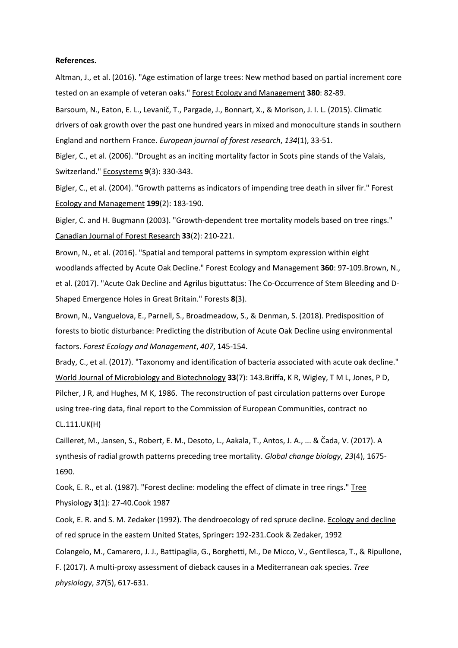#### **References.**

Altman, J., et al. (2016). "Age estimation of large trees: New method based on partial increment core tested on an example of veteran oaks." Forest Ecology and Management **380**: 82-89.

Barsoum, N., Eaton, E. L., Levanič, T., Pargade, J., Bonnart, X., & Morison, J. I. L. (2015). Climatic drivers of oak growth over the past one hundred years in mixed and monoculture stands in southern England and northern France. *European journal of forest research*, *134*(1), 33-51.

Bigler, C., et al. (2006). "Drought as an inciting mortality factor in Scots pine stands of the Valais, Switzerland." Ecosystems **9**(3): 330-343.

Bigler, C., et al. (2004). "Growth patterns as indicators of impending tree death in silver fir." Forest Ecology and Management **199**(2): 183-190.

Bigler, C. and H. Bugmann (2003). "Growth-dependent tree mortality models based on tree rings." Canadian Journal of Forest Research **33**(2): 210-221.

Brown, N., et al. (2016). "Spatial and temporal patterns in symptom expression within eight woodlands affected by Acute Oak Decline." Forest Ecology and Management **360**: 97-109.Brown, N., et al. (2017). "Acute Oak Decline and Agrilus biguttatus: The Co-Occurrence of Stem Bleeding and D-Shaped Emergence Holes in Great Britain." Forests **8**(3).

Brown, N., Vanguelova, E., Parnell, S., Broadmeadow, S., & Denman, S. (2018). Predisposition of forests to biotic disturbance: Predicting the distribution of Acute Oak Decline using environmental factors. *Forest Ecology and Management*, *407*, 145-154.

Brady, C., et al. (2017). "Taxonomy and identification of bacteria associated with acute oak decline." World Journal of Microbiology and Biotechnology **33**(7): 143.Briffa, K R, Wigley, T M L, Jones, P D, Pilcher, J R, and Hughes, M K, 1986. The reconstruction of past circulation patterns over Europe using tree-ring data, final report to the Commission of European Communities, contract no CL.111.UK(H)

Cailleret, M., Jansen, S., Robert, E. M., Desoto, L., Aakala, T., Antos, J. A., ... & Čada, V. (2017). A synthesis of radial growth patterns preceding tree mortality. *Global change biology*, *23*(4), 1675- 1690.

Cook, E. R., et al. (1987). "Forest decline: modeling the effect of climate in tree rings." Tree Physiology **3**(1): 27-40.Cook 1987

Cook, E. R. and S. M. Zedaker (1992). The dendroecology of red spruce decline. Ecology and decline of red spruce in the eastern United States, Springer**:** 192-231.Cook & Zedaker, 1992

Colangelo, M., Camarero, J. J., Battipaglia, G., Borghetti, M., De Micco, V., Gentilesca, T., & Ripullone, F. (2017). A multi-proxy assessment of dieback causes in a Mediterranean oak species. *Tree physiology*, *37*(5), 617-631.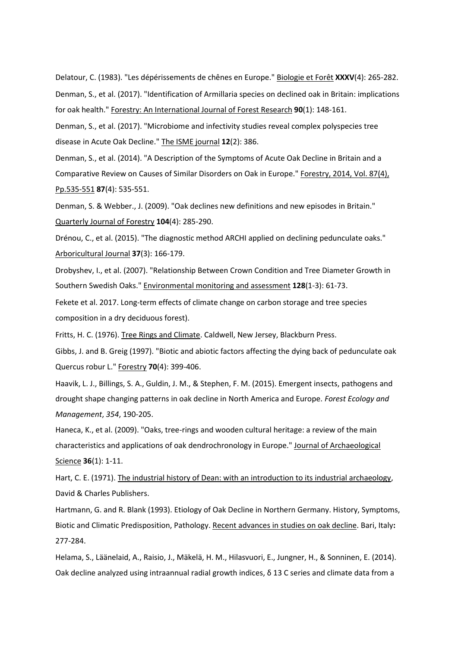Delatour, C. (1983). "Les dépérissements de chênes en Europe." Biologie et Forêt **XXXV**(4): 265-282. Denman, S., et al. (2017). "Identification of Armillaria species on declined oak in Britain: implications for oak health." Forestry: An International Journal of Forest Research **90**(1): 148-161.

Denman, S., et al. (2017). "Microbiome and infectivity studies reveal complex polyspecies tree disease in Acute Oak Decline." The ISME journal **12**(2): 386.

Denman, S., et al. (2014). "A Description of the Symptoms of Acute Oak Decline in Britain and a Comparative Review on Causes of Similar Disorders on Oak in Europe." Forestry, 2014, Vol. 87(4), Pp.535-551 **87**(4): 535-551.

Denman, S. & Webber., J. (2009). "Oak declines new definitions and new episodes in Britain." Quarterly Journal of Forestry **104**(4): 285-290.

Drénou, C., et al. (2015). "The diagnostic method ARCHI applied on declining pedunculate oaks." Arboricultural Journal **37**(3): 166-179.

Drobyshev, I., et al. (2007). "Relationship Between Crown Condition and Tree Diameter Growth in Southern Swedish Oaks." Environmental monitoring and assessment **128**(1-3): 61-73.

Fekete et al. 2017. Long-term effects of climate change on carbon storage and tree species composition in a dry deciduous forest).

Fritts, H. C. (1976). Tree Rings and Climate. Caldwell, New Jersey, Blackburn Press.

Gibbs, J. and B. Greig (1997). "Biotic and abiotic factors affecting the dying back of pedunculate oak Quercus robur L." Forestry **70**(4): 399-406.

Haavik, L. J., Billings, S. A., Guldin, J. M., & Stephen, F. M. (2015). Emergent insects, pathogens and drought shape changing patterns in oak decline in North America and Europe. *Forest Ecology and Management*, *354*, 190-205.

Haneca, K., et al. (2009). "Oaks, tree-rings and wooden cultural heritage: a review of the main characteristics and applications of oak dendrochronology in Europe." Journal of Archaeological Science **36**(1): 1-11.

Hart, C. E. (1971). The industrial history of Dean: with an introduction to its industrial archaeology, David & Charles Publishers.

Hartmann, G. and R. Blank (1993). Etiology of Oak Decline in Northern Germany. History, Symptoms, Biotic and Climatic Predisposition, Pathology. Recent advances in studies on oak decline. Bari, Italy**:**  277-284.

Helama, S., Läänelaid, A., Raisio, J., Mäkelä, H. M., Hilasvuori, E., Jungner, H., & Sonninen, E. (2014). Oak decline analyzed using intraannual radial growth indices,  $\delta$  13 C series and climate data from a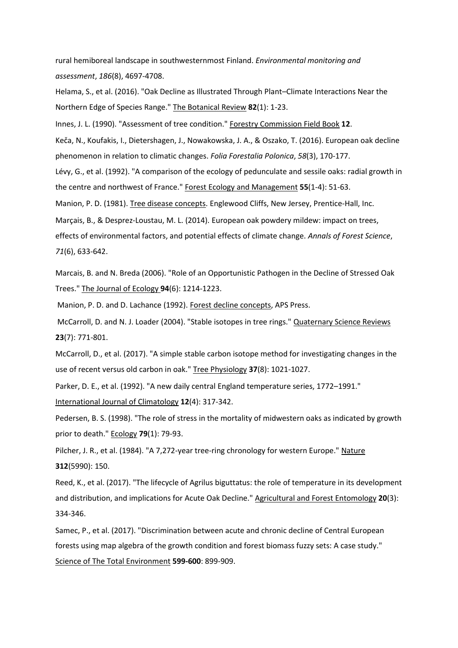rural hemiboreal landscape in southwesternmost Finland. *Environmental monitoring and assessment*, *186*(8), 4697-4708.

Helama, S., et al. (2016). "Oak Decline as Illustrated Through Plant–Climate Interactions Near the Northern Edge of Species Range." The Botanical Review **82**(1): 1-23.

Innes, J. L. (1990). "Assessment of tree condition." Forestry Commission Field Book **12**.

Keča, N., Koufakis, I., Dietershagen, J., Nowakowska, J. A., & Oszako, T. (2016). European oak decline phenomenon in relation to climatic changes. *Folia Forestalia Polonica*, *58*(3), 170-177.

Lévy, G., et al. (1992). "A comparison of the ecology of pedunculate and sessile oaks: radial growth in the centre and northwest of France." Forest Ecology and Management **55**(1-4): 51-63.

Manion, P. D. (1981). Tree disease concepts. Englewood Cliffs, New Jersey, Prentice-Hall, Inc.

Marçais, B., & Desprez-Loustau, M. L. (2014). European oak powdery mildew: impact on trees,

effects of environmental factors, and potential effects of climate change. *Annals of Forest Science*, *71*(6), 633-642.

Marcais, B. and N. Breda (2006). "Role of an Opportunistic Pathogen in the Decline of Stressed Oak Trees." The Journal of Ecology **94**(6): 1214-1223.

Manion, P. D. and D. Lachance (1992). Forest decline concepts, APS Press.

McCarroll, D. and N. J. Loader (2004). "Stable isotopes in tree rings." Quaternary Science Reviews **23**(7): 771-801.

McCarroll, D., et al. (2017). "A simple stable carbon isotope method for investigating changes in the use of recent versus old carbon in oak." Tree Physiology **37**(8): 1021-1027.

Parker, D. E., et al. (1992). "A new daily central England temperature series, 1772–1991." International Journal of Climatology **12**(4): 317-342.

Pedersen, B. S. (1998). "The role of stress in the mortality of midwestern oaks as indicated by growth prior to death." Ecology **79**(1): 79-93.

Pilcher, J. R., et al. (1984). "A 7,272-year tree-ring chronology for western Europe." Nature **312**(5990): 150.

Reed, K., et al. (2017). "The lifecycle of Agrilus biguttatus: the role of temperature in its development and distribution, and implications for Acute Oak Decline." Agricultural and Forest Entomology **20**(3): 334-346.

Samec, P., et al. (2017). "Discrimination between acute and chronic decline of Central European forests using map algebra of the growth condition and forest biomass fuzzy sets: A case study." Science of The Total Environment **599-600**: 899-909.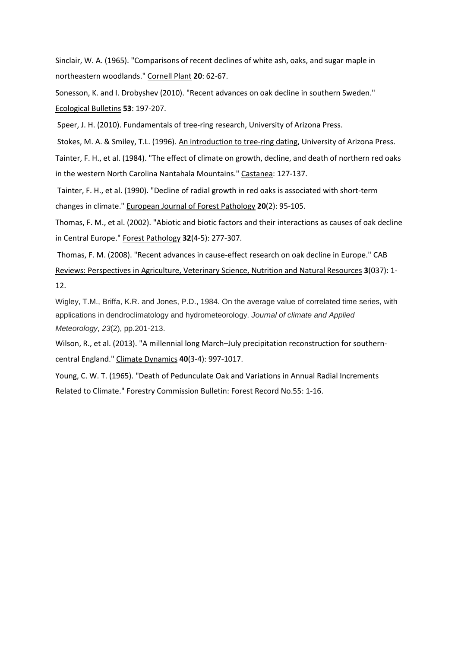Sinclair, W. A. (1965). "Comparisons of recent declines of white ash, oaks, and sugar maple in northeastern woodlands." Cornell Plant **20**: 62-67.

Sonesson, K. and I. Drobyshev (2010). "Recent advances on oak decline in southern Sweden." Ecological Bulletins **53**: 197-207.

Speer, J. H. (2010). Fundamentals of tree-ring research, University of Arizona Press.

Stokes, M. A. & Smiley, T.L. (1996). An introduction to tree-ring dating, University of Arizona Press. Tainter, F. H., et al. (1984). "The effect of climate on growth, decline, and death of northern red oaks in the western North Carolina Nantahala Mountains." Castanea: 127-137.

Tainter, F. H., et al. (1990). "Decline of radial growth in red oaks is associated with short-term changes in climate." European Journal of Forest Pathology **20**(2): 95-105.

Thomas, F. M., et al. (2002). "Abiotic and biotic factors and their interactions as causes of oak decline in Central Europe." Forest Pathology **32**(4‐5): 277-307.

Thomas, F. M. (2008). "Recent advances in cause-effect research on oak decline in Europe." CAB Reviews: Perspectives in Agriculture, Veterinary Science, Nutrition and Natural Resources **3**(037): 1- 12.

Wigley, T.M., Briffa, K.R. and Jones, P.D., 1984. On the average value of correlated time series, with applications in dendroclimatology and hydrometeorology. *Journal of climate and Applied Meteorology*, *23*(2), pp.201-213.

Wilson, R., et al. (2013). "A millennial long March–July precipitation reconstruction for southerncentral England." Climate Dynamics **40**(3-4): 997-1017.

Young, C. W. T. (1965). "Death of Pedunculate Oak and Variations in Annual Radial Increments Related to Climate." Forestry Commission Bulletin: Forest Record No.55: 1-16.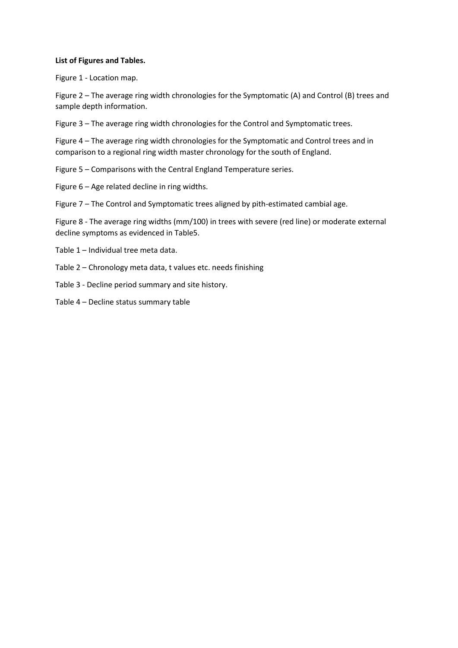# **List of Figures and Tables.**

Figure 1 - Location map.

Figure 2 – The average ring width chronologies for the Symptomatic (A) and Control (B) trees and sample depth information.

Figure 3 – The average ring width chronologies for the Control and Symptomatic trees.

Figure 4 – The average ring width chronologies for the Symptomatic and Control trees and in comparison to a regional ring width master chronology for the south of England.

Figure 5 – Comparisons with the Central England Temperature series.

Figure 6 – Age related decline in ring widths.

Figure 7 – The Control and Symptomatic trees aligned by pith-estimated cambial age.

Figure 8 - The average ring widths (mm/100) in trees with severe (red line) or moderate external decline symptoms as evidenced in Table5.

Table 1 – Individual tree meta data.

Table 2 – Chronology meta data, t values etc. needs finishing

Table 3 - Decline period summary and site history.

Table 4 – Decline status summary table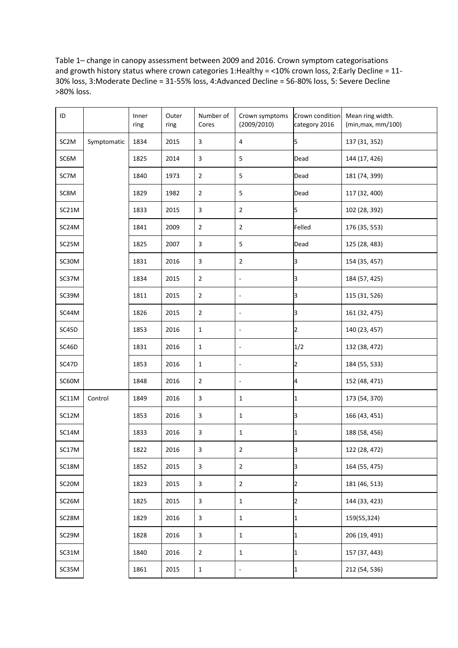Table 1– change in canopy assessment between 2009 and 2016. Crown symptom categorisations and growth history status where crown categories 1:Healthy = <10% crown loss, 2:Early Decline = 11-30% loss, 3:Moderate Decline = 31-55% loss, 4:Advanced Decline = 56-80% loss, 5: Severe Decline >80% loss.

| ID                |             | Inner | Outer | Number of               | Crown symptoms           | Crown condition | Mean ring width.   |
|-------------------|-------------|-------|-------|-------------------------|--------------------------|-----------------|--------------------|
|                   |             | ring  | ring  | Cores                   | (2009/2010)              | category 2016   | (min, max, mm/100) |
| SC <sub>2</sub> M | Symptomatic | 1834  | 2015  | 3                       | $\overline{\mathbf{4}}$  | 5               | 137 (31, 352)      |
| SC6M              |             | 1825  | 2014  | 3                       | 5                        | Dead            | 144 (17, 426)      |
| SC7M              |             | 1840  | 1973  | $\overline{2}$          | 5                        | Dead            | 181 (74, 399)      |
| SC8M              |             | 1829  | 1982  | $\overline{2}$          | 5                        | Dead            | 117 (32, 400)      |
| SC21M             |             | 1833  | 2015  | 3                       | $\overline{2}$           | 5               | 102 (28, 392)      |
| SC24M             |             | 1841  | 2009  | $\overline{2}$          | $\overline{2}$           | Felled          | 176 (35, 553)      |
| SC25M             |             | 1825  | 2007  | $\overline{\mathbf{3}}$ | 5                        | Dead            | 125 (28, 483)      |
| SC30M             |             | 1831  | 2016  | 3                       | $\overline{2}$           | 3               | 154 (35, 457)      |
| SC37M             |             | 1834  | 2015  | $\overline{2}$          | $\blacksquare$           | 3               | 184 (57, 425)      |
| SC39M             |             | 1811  | 2015  | $\overline{2}$          | $\overline{\phantom{a}}$ | lЗ              | 115 (31, 526)      |
| SC44M             |             | 1826  | 2015  | $\mathbf 2$             | $\overline{\phantom{a}}$ | lЗ              | 161 (32, 475)      |
| SC45D             |             | 1853  | 2016  | $\mathbf 1$             | $\blacksquare$           | $\overline{2}$  | 140 (23, 457)      |
| SC46D             |             | 1831  | 2016  | $\mathbf{1}$            | $\blacksquare$           | 1/2             | 132 (38, 472)      |
| SC47D             |             | 1853  | 2016  | $\mathbf{1}$            | $\blacksquare$           | $\overline{2}$  | 184 (55, 533)      |
| SC60M             |             | 1848  | 2016  | $\overline{2}$          | $\Box$                   | 4               | 152 (48, 471)      |
| SC11M             | Control     | 1849  | 2016  | $\overline{\mathbf{3}}$ | $\mathbf{1}$             | 1               | 173 (54, 370)      |
| SC12M             |             | 1853  | 2016  | $\overline{\mathbf{3}}$ | $\mathbf{1}$             | 3               | 166 (43, 451)      |
| SC14M             |             | 1833  | 2016  | $\overline{\mathbf{3}}$ | $\mathbf{1}$             | 1               | 188 (58, 456)      |
| SC17M             |             | 1822  | 2016  | 3                       | $\overline{2}$           | lЗ              | 122 (28, 472)      |
| SC18M             |             | 1852  | 2015  | $\overline{3}$          | $\overline{2}$           | 3               | 164 (55, 475)      |
| SC20M             |             | 1823  | 2015  | $\overline{3}$          | $\overline{2}$           | $\overline{2}$  | 181 (46, 513)      |
| SC26M             |             | 1825  | 2015  | $\overline{3}$          | $\mathbf{1}$             | $\overline{2}$  | 144 (33, 423)      |
| SC28M             |             | 1829  | 2016  | 3                       | $\mathbf{1}$             | 1               | 159(55,324)        |
| SC29M             |             | 1828  | 2016  | 3                       | $\mathbf{1}$             | 1               | 206 (19, 491)      |
| SC31M             |             | 1840  | 2016  | $\overline{2}$          | $\mathbf{1}$             | $\mathbf{1}$    | 157 (37, 443)      |
| SC35M             |             | 1861  | 2015  | $\mathbf{1}$            | $\overline{\phantom{0}}$ | 1               | 212 (54, 536)      |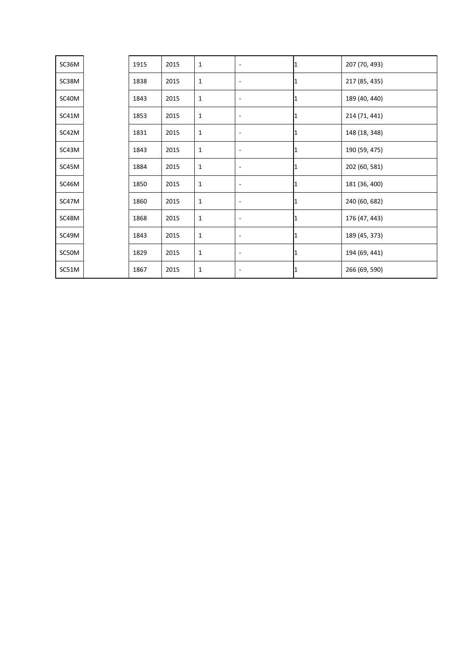| SC36M | 1915 | 2015 | $\mathbf{1}$ | ٠                        | 1 | 207 (70, 493) |
|-------|------|------|--------------|--------------------------|---|---------------|
| SC38M | 1838 | 2015 | $\mathbf{1}$ | $\overline{\phantom{a}}$ | ı | 217 (85, 435) |
| SC40M | 1843 | 2015 | $\mathbf 1$  | $\overline{\phantom{a}}$ | 1 | 189 (40, 440) |
| SC41M | 1853 | 2015 | $\mathbf{1}$ | $\overline{\phantom{a}}$ | ш | 214 (71, 441) |
| SC42M | 1831 | 2015 | $1\,$        | $\overline{\phantom{a}}$ | ı | 148 (18, 348) |
| SC43M | 1843 | 2015 | $\mathbf{1}$ | $\overline{\phantom{a}}$ |   | 190 (59, 475) |
| SC45M | 1884 | 2015 | $\mathbf 1$  | $\overline{\phantom{a}}$ |   | 202 (60, 581) |
| SC46M | 1850 | 2015 | $\mathbf{1}$ | $\overline{\phantom{a}}$ | 1 | 181 (36, 400) |
| SC47M | 1860 | 2015 | $\mathbf{1}$ | $\overline{\phantom{a}}$ | 1 | 240 (60, 682) |
| SC48M | 1868 | 2015 | $\mathbf{1}$ | $\overline{\phantom{a}}$ |   | 176 (47, 443) |
| SC49M | 1843 | 2015 | $\mathbf 1$  | $\overline{\phantom{a}}$ | 1 | 189 (45, 373) |
| SC50M | 1829 | 2015 | $\mathbf 1$  | ٠                        | 1 | 194 (69, 441) |
| SC51M | 1867 | 2015 | $\mathbf{1}$ | $\overline{\phantom{a}}$ | 1 | 266 (69, 590) |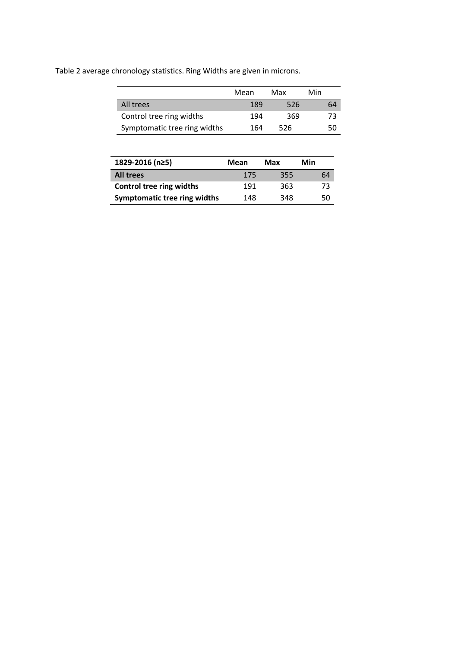Table 2 average chronology statistics. Ring Widths are given in microns.

|                              | Mean | Max | Min |
|------------------------------|------|-----|-----|
| All trees                    | 189  | 526 | 64  |
| Control tree ring widths     | 194  | 369 | 73  |
| Symptomatic tree ring widths | 164  | 526 | 50  |

| 1829-2016 (n≥5)                     | Mean | Max | Min |
|-------------------------------------|------|-----|-----|
| <b>All trees</b>                    | 175  | 355 | 64  |
| <b>Control tree ring widths</b>     | 191  | 363 | 73  |
| <b>Symptomatic tree ring widths</b> | 148  | 348 | 50  |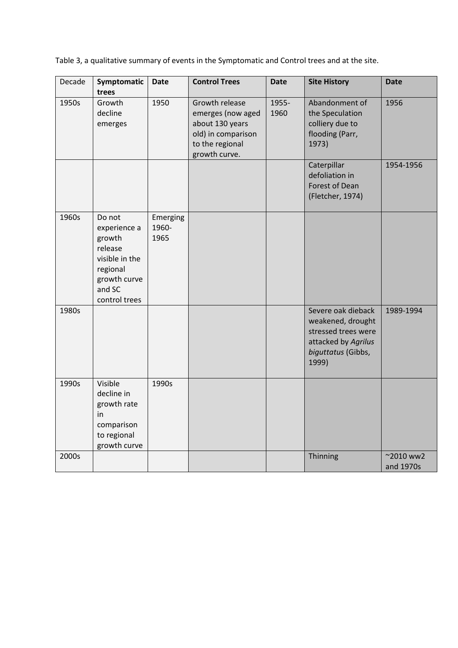Table 3, a qualitative summary of events in the Symptomatic and Control trees and at the site.

| Decade | Symptomatic<br>trees                                                                                                 | <b>Date</b>               | <b>Control Trees</b>                                                                                             | <b>Date</b>   | <b>Site History</b>                                                                                                  | <b>Date</b>                     |
|--------|----------------------------------------------------------------------------------------------------------------------|---------------------------|------------------------------------------------------------------------------------------------------------------|---------------|----------------------------------------------------------------------------------------------------------------------|---------------------------------|
| 1950s  | Growth<br>decline<br>emerges                                                                                         | 1950                      | Growth release<br>emerges (now aged<br>about 130 years<br>old) in comparison<br>to the regional<br>growth curve. | 1955-<br>1960 | Abandonment of<br>the Speculation<br>colliery due to<br>flooding (Parr,<br>1973)                                     | 1956                            |
|        |                                                                                                                      |                           |                                                                                                                  |               | Caterpillar<br>defoliation in<br>Forest of Dean<br>(Fletcher, 1974)                                                  | 1954-1956                       |
| 1960s  | Do not<br>experience a<br>growth<br>release<br>visible in the<br>regional<br>growth curve<br>and SC<br>control trees | Emerging<br>1960-<br>1965 |                                                                                                                  |               |                                                                                                                      |                                 |
| 1980s  |                                                                                                                      |                           |                                                                                                                  |               | Severe oak dieback<br>weakened, drought<br>stressed trees were<br>attacked by Agrilus<br>biguttatus (Gibbs,<br>1999) | 1989-1994                       |
| 1990s  | Visible<br>decline in<br>growth rate<br>in<br>comparison<br>to regional<br>growth curve                              | 1990s                     |                                                                                                                  |               |                                                                                                                      |                                 |
| 2000s  |                                                                                                                      |                           |                                                                                                                  |               | Thinning                                                                                                             | $^{\sim}$ 2010 ww2<br>and 1970s |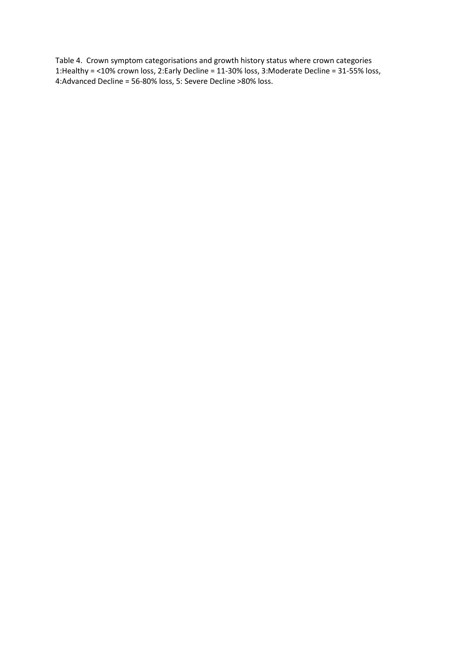Table 4. Crown symptom categorisations and growth history status where crown categories 1:Healthy = <10% crown loss, 2:Early Decline = 11-30% loss, 3:Moderate Decline = 31-55% loss, 4:Advanced Decline = 56-80% loss, 5: Severe Decline >80% loss.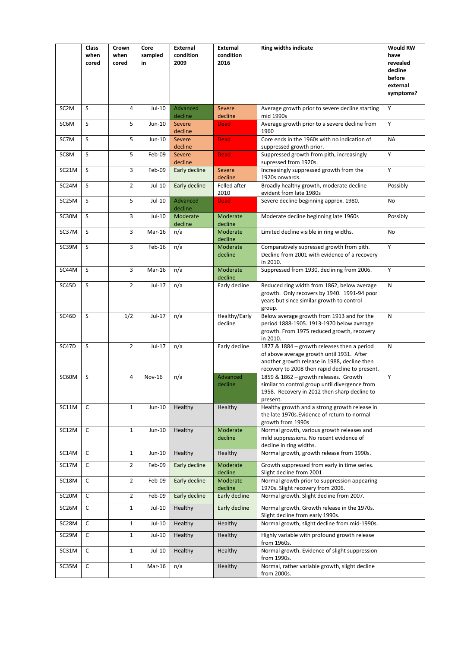|                    | Class<br>when<br>cored | Crown<br>when<br>cored | Core<br>sampled<br>in | <b>External</b><br>condition<br>2009 | <b>External</b><br>condition<br>2016 | <b>Ring widths indicate</b>                                                                                                                                                                 | <b>Would RW</b><br>have<br>revealed<br>decline<br>before<br>external<br>symptoms? |
|--------------------|------------------------|------------------------|-----------------------|--------------------------------------|--------------------------------------|---------------------------------------------------------------------------------------------------------------------------------------------------------------------------------------------|-----------------------------------------------------------------------------------|
| SC <sub>2</sub> M  | S                      | 4                      | Jul-10                | Advanced<br>decline                  | <b>Severe</b><br>decline             | Average growth prior to severe decline starting<br>mid 1990s                                                                                                                                | Υ                                                                                 |
| SC6M               | S                      | 5                      | Jun-10                | <b>Severe</b><br>decline             | <b>Dead</b>                          | Average growth prior to a severe decline from<br>1960                                                                                                                                       | Y                                                                                 |
| SC7M               | S                      | 5                      | Jun-10                | Severe<br>decline                    | <b>Dead</b>                          | Core ends in the 1960s with no indication of<br>suppressed growth prior.                                                                                                                    | <b>NA</b>                                                                         |
| SC8M               | S                      | 5                      | Feb-09                | <b>Severe</b><br>decline             | <b>Dead</b>                          | Suppressed growth from pith, increasingly<br>supressed from 1920s.                                                                                                                          | Y                                                                                 |
| SC21M              | S                      | 3                      | Feb-09                | Early decline                        | Severe<br>decline                    | Increasingly suppressed growth from the<br>1920s onwards.                                                                                                                                   | Y                                                                                 |
| SC24M              | S                      | $\overline{2}$         | Jul-10                | Early decline                        | Felled after<br>2010                 | Broadly healthy growth, moderate decline<br>evident from late 1980s                                                                                                                         | Possibly                                                                          |
| SC25M              | S                      | 5                      | Jul-10                | Advanced<br>decline                  | <b>Dead</b>                          | Severe decline beginning approx. 1980.                                                                                                                                                      | No                                                                                |
| SC30M              | S                      | 3                      | Jul-10                | Moderate<br>decline                  | Moderate<br>decline                  | Moderate decline beginning late 1960s                                                                                                                                                       | Possibly                                                                          |
| SC37M              | S                      | 3                      | Mar-16                | n/a                                  | Moderate<br>decline                  | Limited decline visible in ring widths.                                                                                                                                                     | No                                                                                |
| SC39M              | S                      | 3                      | Feb-16                | n/a                                  | Moderate<br>decline                  | Comparatively supressed growth from pith.<br>Decline from 2001 with evidence of a recovery<br>in 2010.                                                                                      | Y                                                                                 |
| SC44M              | S                      | 3                      | Mar-16                | n/a                                  | Moderate<br>decline                  | Suppressed from 1930, declining from 2006.                                                                                                                                                  | Υ                                                                                 |
| SC45D              | S                      | $\overline{2}$         | Jul-17                | n/a                                  | Early decline                        | Reduced ring width from 1862, below average<br>growth. Only recovers by 1940. 1991-94 poor<br>years but since similar growth to control<br>group.                                           | N                                                                                 |
| SC46D              | S                      | 1/2                    | Jul-17                | n/a                                  | Healthy/Early<br>decline             | Below average growth from 1913 and for the<br>period 1888-1905. 1913-1970 below average<br>growth. From 1975 reduced growth, recovery<br>in 2010.                                           | N                                                                                 |
| SC47D              | S                      | $\overline{2}$         | Jul-17                | n/a                                  | Early decline                        | 1877 & 1884 - growth releases then a period<br>of above average growth until 1931. After<br>another growth release in 1988, decline then<br>recovery to 2008 then rapid decline to present. | N                                                                                 |
| SC60M              | S                      | 4                      | <b>Nov-16</b>         | n/a                                  | Advanced<br>decline                  | 1859 & 1862 - growth releases. Growth<br>similar to control group until divergence from<br>1958. Recovery in 2012 then sharp decline to<br>present.                                         | Y                                                                                 |
| SC11M              | C                      | $\mathbf{1}$           | Jun-10                | Healthy                              | Healthy                              | Healthy growth and a strong growth release in<br>the late 1970s. Evidence of return to normal<br>growth from 1990s                                                                          |                                                                                   |
| SC12M              | C                      | $\mathbf{1}$           | Jun-10                | Healthy                              | Moderate<br>decline                  | Normal growth, various growth releases and<br>mild suppressions. No recent evidence of<br>decline in ring widths.                                                                           |                                                                                   |
| SC14M              | $\mathsf{C}$           | $\mathbf{1}$           | Jun-10                | Healthy                              | Healthy                              | Normal growth, growth release from 1990s.                                                                                                                                                   |                                                                                   |
| SC17M              | $\mathsf{C}$           | $\overline{2}$         | Feb-09                | Early decline                        | Moderate<br>decline                  | Growth suppressed from early in time series.<br>Slight decline from 2001                                                                                                                    |                                                                                   |
| SC18M              | $\mathsf{C}$           | $\overline{2}$         | Feb-09                | Early decline                        | Moderate<br>decline                  | Normal growth prior to suppression appearing<br>1970s. Slight recovery from 2006.                                                                                                           |                                                                                   |
| SC20M              | $\mathsf{C}$           | $\overline{2}$         | Feb-09                | Early decline                        | Early decline                        | Normal growth. Slight decline from 2007.                                                                                                                                                    |                                                                                   |
| SC26M              | $\mathsf{C}$           | $\mathbf{1}$           | Jul-10                | Healthy                              | Early decline                        | Normal growth. Growth release in the 1970s.<br>Slight decline from early 1990s.                                                                                                             |                                                                                   |
| SC <sub>28</sub> M | $\mathsf{C}$           | $\mathbf{1}$           | Jul-10                | Healthy                              | Healthy                              | Normal growth, slight decline from mid-1990s.                                                                                                                                               |                                                                                   |
| SC29M              | C                      | $\mathbf{1}$           | Jul-10                | Healthy                              | Healthy                              | Highly variable with profound growth release<br>from 1960s.                                                                                                                                 |                                                                                   |
| SC31M              | $\mathsf{C}$           | $\mathbf{1}$           | Jul-10                | Healthy                              | Healthy                              | Normal growth. Evidence of slight suppression<br>from 1990s.                                                                                                                                |                                                                                   |
| SC35M              | $\mathsf{C}$           | $1\,$                  | Mar-16                | n/a                                  | Healthy                              | Normal, rather variable growth, slight decline<br>from 2000s.                                                                                                                               |                                                                                   |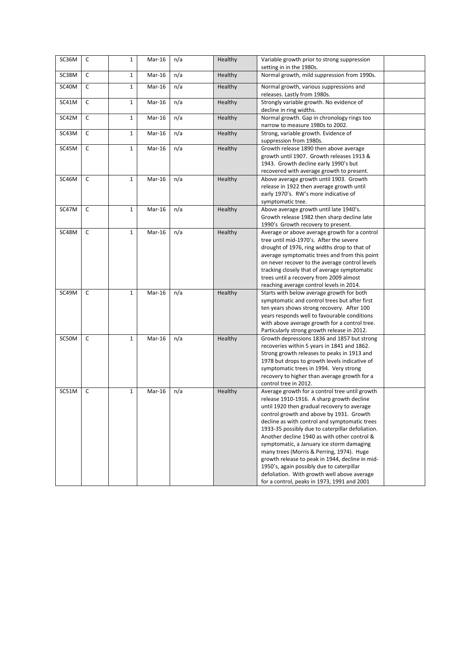| SC36M | $\mathsf{C}$ | $\mathbf{1}$ | Mar-16   | n/a | Healthy        | Variable growth prior to strong suppression<br>setting in in the 1980s.                    |  |
|-------|--------------|--------------|----------|-----|----------------|--------------------------------------------------------------------------------------------|--|
| SC38M | C            | $\mathbf{1}$ | Mar-16   | n/a | Healthy        | Normal growth, mild suppression from 1990s.                                                |  |
| SC40M | c            | $\mathbf{1}$ | $Mar-16$ | n/a | Healthy        | Normal growth, various suppressions and<br>releases. Lastly from 1980s.                    |  |
| SC41M | $\mathsf{C}$ | $\mathbf{1}$ | Mar-16   | n/a | <b>Healthy</b> | Strongly variable growth. No evidence of<br>decline in ring widths.                        |  |
| SC42M | $\mathsf{C}$ | $\mathbf{1}$ | $Mar-16$ | n/a | Healthy        | Normal growth. Gap in chronology rings too                                                 |  |
| SC43M | C            | $\mathbf{1}$ | Mar-16   | n/a | <b>Healthy</b> | narrow to measure 1980s to 2002.<br>Strong, variable growth. Evidence of                   |  |
|       |              |              |          |     |                | suppression from 1980s.                                                                    |  |
| SC45M | $\mathsf{C}$ | $\mathbf{1}$ | Mar-16   | n/a | <b>Healthy</b> | Growth release 1890 then above average                                                     |  |
|       |              |              |          |     |                | growth until 1907. Growth releases 1913 &                                                  |  |
|       |              |              |          |     |                | 1943. Growth decline early 1990's but                                                      |  |
|       | C            | $\mathbf{1}$ | $Mar-16$ |     |                | recovered with average growth to present.<br>Above average growth until 1903. Growth       |  |
| SC46M |              |              |          | n/a | Healthy        | release in 1922 then average growth until                                                  |  |
|       |              |              |          |     |                | early 1970's. RW's more indicative of                                                      |  |
|       |              |              |          |     |                | symptomatic tree.                                                                          |  |
| SC47M | C            | $\mathbf{1}$ | Mar-16   | n/a | <b>Healthy</b> | Above average growth until late 1940's.                                                    |  |
|       |              |              |          |     |                | Growth release 1982 then sharp decline late                                                |  |
|       |              |              |          |     |                | 1990's Growth recovery to present.                                                         |  |
| SC48M | C            | $\mathbf{1}$ | Mar-16   | n/a | Healthy        | Average or above average growth for a control                                              |  |
|       |              |              |          |     |                | tree until mid-1970's. After the severe                                                    |  |
|       |              |              |          |     |                | drought of 1976, ring widths drop to that of                                               |  |
|       |              |              |          |     |                | average symptomatic trees and from this point                                              |  |
|       |              |              |          |     |                | on never recover to the average control levels                                             |  |
|       |              |              |          |     |                | tracking closely that of average symptomatic                                               |  |
|       |              |              |          |     |                | trees until a recovery from 2009 almost                                                    |  |
|       |              |              |          |     |                | reaching average control levels in 2014.                                                   |  |
| SC49M | C            | $\mathbf{1}$ | $Mar-16$ | n/a | <b>Healthy</b> | Starts with below average growth for both                                                  |  |
|       |              |              |          |     |                | symptomatic and control trees but after first                                              |  |
|       |              |              |          |     |                | ten years shows strong recovery. After 100                                                 |  |
|       |              |              |          |     |                | years responds well to favourable conditions                                               |  |
|       |              |              |          |     |                | with above average growth for a control tree.                                              |  |
|       |              |              |          |     |                | Particularly strong growth release in 2012.                                                |  |
| SC50M | C            | $\mathbf{1}$ | $Mar-16$ | n/a | Healthy        | Growth depressions 1836 and 1857 but strong                                                |  |
|       |              |              |          |     |                | recoveries within 5 years in 1841 and 1862.<br>Strong growth releases to peaks in 1913 and |  |
|       |              |              |          |     |                | 1978 but drops to growth levels indicative of                                              |  |
|       |              |              |          |     |                | symptomatic trees in 1994. Very strong                                                     |  |
|       |              |              |          |     |                | recovery to higher than average growth for a                                               |  |
|       |              |              |          |     |                | control tree in 2012.                                                                      |  |
| SC51M | C            | $\mathbf{1}$ | Mar-16   | n/a | Healthy        | Average growth for a control tree until growth                                             |  |
|       |              |              |          |     |                | release 1910-1916. A sharp growth decline                                                  |  |
|       |              |              |          |     |                | until 1920 then gradual recovery to average                                                |  |
|       |              |              |          |     |                | control growth and above by 1931. Growth                                                   |  |
|       |              |              |          |     |                | decline as with control and symptomatic trees                                              |  |
|       |              |              |          |     |                | 1933-35 possibly due to caterpillar defoliation.                                           |  |
|       |              |              |          |     |                | Another decline 1940 as with other control &                                               |  |
|       |              |              |          |     |                | symptomatic, a January ice storm damaging                                                  |  |
|       |              |              |          |     |                | many trees (Morris & Perring, 1974). Huge                                                  |  |
|       |              |              |          |     |                | growth release to peak in 1944, decline in mid-                                            |  |
|       |              |              |          |     |                | 1950's, again possibly due to caterpillar                                                  |  |
|       |              |              |          |     |                | defoliation. With growth well above average                                                |  |
|       |              |              |          |     |                | for a control, peaks in 1973, 1991 and 2001                                                |  |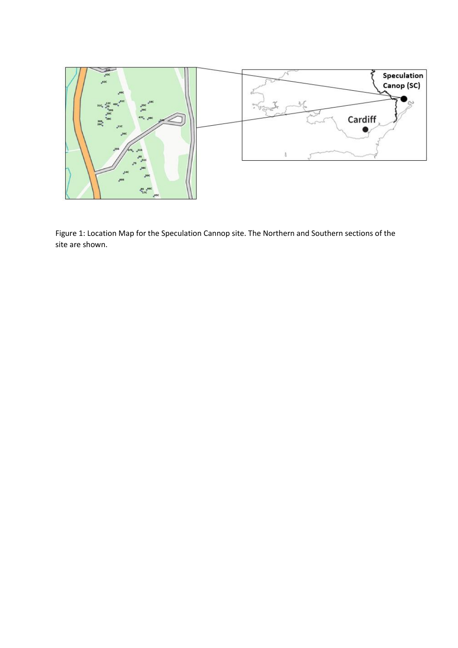

Figure 1: Location Map for the Speculation Cannop site. The Northern and Southern sections of the site are shown.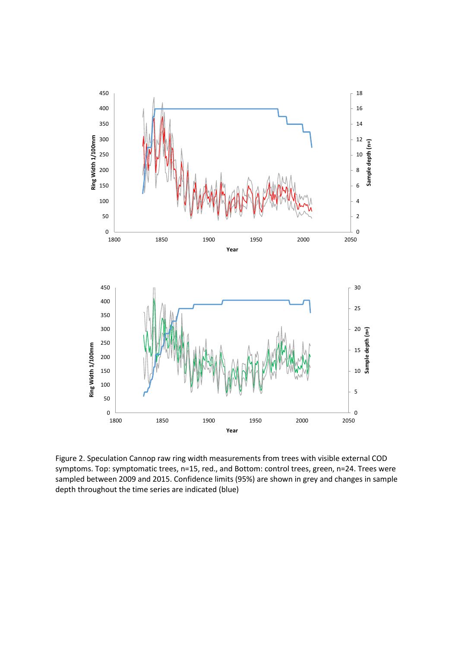

Figure 2. Speculation Cannop raw ring width measurements from trees with visible external COD symptoms. Top: symptomatic trees, n=15, red., and Bottom: control trees, green, n=24. Trees were sampled between 2009 and 2015. Confidence limits (95%) are shown in grey and changes in sample depth throughout the time series are indicated (blue)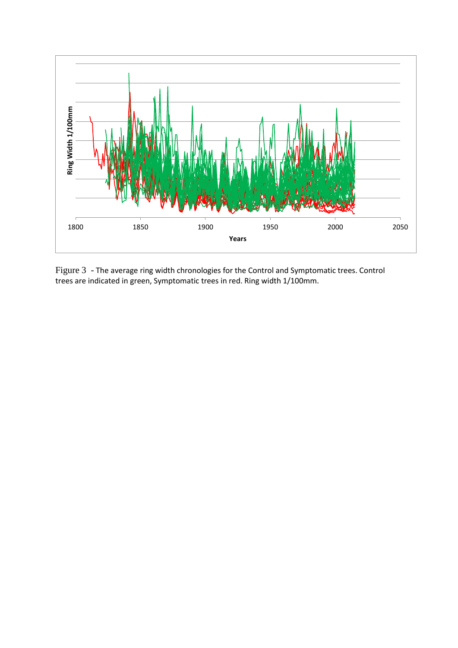

Figure 3 - The average ring width chronologies for the Control and Symptomatic trees. Control trees are indicated in green, Symptomatic trees in red. Ring width 1/100mm.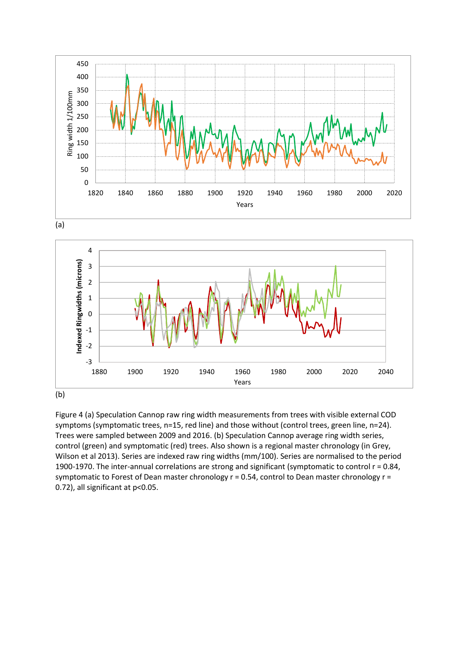





Figure 4 (a) Speculation Cannop raw ring width measurements from trees with visible external COD symptoms (symptomatic trees, n=15, red line) and those without (control trees, green line, n=24). Trees were sampled between 2009 and 2016. (b) Speculation Cannop average ring width series, control (green) and symptomatic (red) trees. Also shown is a regional master chronology (in Grey, Wilson et al 2013). Series are indexed raw ring widths (mm/100). Series are normalised to the period 1900-1970. The inter-annual correlations are strong and significant (symptomatic to control r = 0.84, symptomatic to Forest of Dean master chronology  $r = 0.54$ , control to Dean master chronology  $r =$ 0.72), all significant at p<0.05.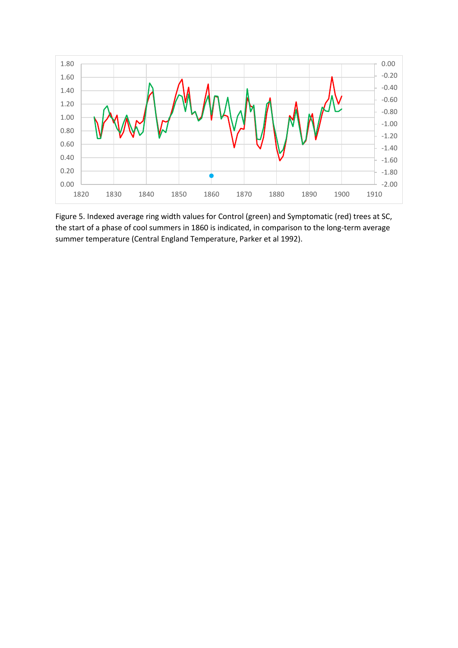

Figure 5. Indexed average ring width values for Control (green) and Symptomatic (red) trees at SC, the start of a phase of cool summers in 1860 is indicated, in comparison to the long-term average summer temperature (Central England Temperature, Parker et al 1992).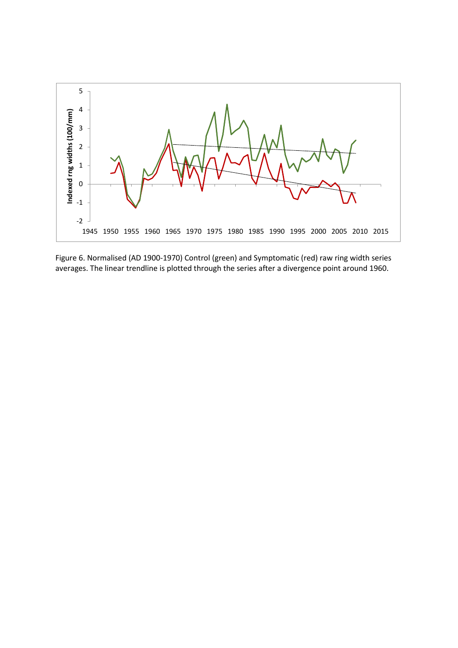

Figure 6. Normalised (AD 1900-1970) Control (green) and Symptomatic (red) raw ring width series averages. The linear trendline is plotted through the series after a divergence point around 1960.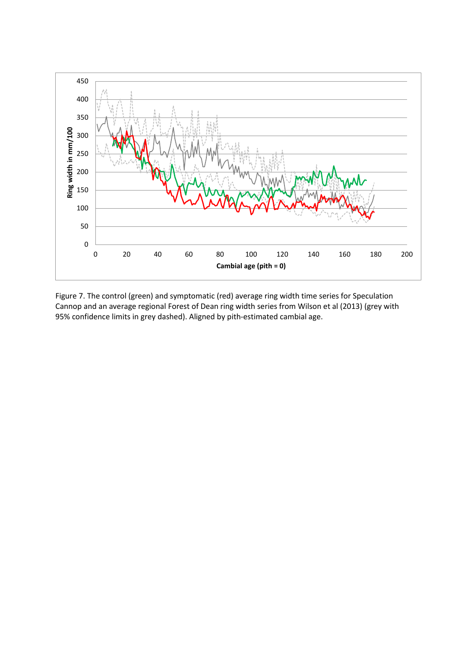

Figure 7. The control (green) and symptomatic (red) average ring width time series for Speculation Cannop and an average regional Forest of Dean ring width series from Wilson et al (2013) (grey with 95% confidence limits in grey dashed). Aligned by pith-estimated cambial age.